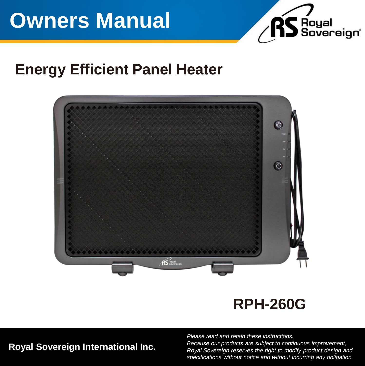# **Owners Manual**



### **Energy Efficient Panel Heater**



### **RPH-260G**

**Royal Sovereign International Inc.**

*Please read and retain these instructions. Because our products are subject to continuous improvement, Royal Sovereign reserves the right to modify product design and specifications without notice and without incurring any obligation.*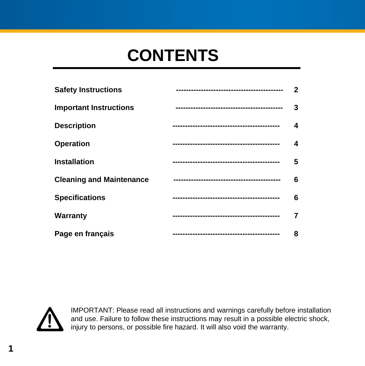## **CONTENTS**

| <b>Safety Instructions</b>      | $\mathbf{2}$ |
|---------------------------------|--------------|
| <b>Important Instructions</b>   | 3            |
| <b>Description</b>              | 4            |
| <b>Operation</b>                | 4            |
| <b>Installation</b>             | 5            |
| <b>Cleaning and Maintenance</b> | 6            |
| <b>Specifications</b>           | 6            |
| Warranty                        | 7            |
| Page en français                | 8            |



IMPORTANT: Please read all instructions and warnings carefully before installation and use. Failure to follow these instructions may result in a possible electric shock, injury to persons, or possible fire hazard. It will also void the warranty.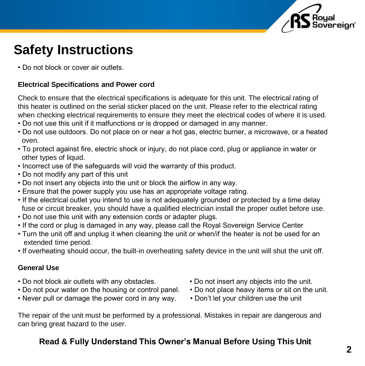

### **Safety Instructions**

• Do not block or cover air outlets.

#### **Electrical Specifications and Power cord**

Check to ensure that the electrical specifications is adequate for this unit. The electrical rating of this heater is outlined on the serial sticker placed on the unit. Please refer to the electrical rating when checking electrical requirements to ensure they meet the electrical codes of where it is used.

- Do not use this unit if it malfunctions or is dropped or damaged in any manner.
- Do not use outdoors. Do not place on or near a hot gas, electric burner, a microwave, or a heated oven.
- To protect against fire, electric shock or injury, do not place cord, plug or appliance in water or other types of liquid.
- Incorrect use of the safeguards will void the warranty of this product.
- Do not modify any part of this unit
- Do not insert any objects into the unit or block the airflow in any way.
- Ensure that the power supply you use has an appropriate voltage rating.
- If the electrical outlet you intend to use is not adequately grounded or protected by a time delay fuse or circuit breaker, you should have a qualified electrician install the proper outlet before use.
- Do not use this unit with any extension cords or adapter plugs.
- If the cord or plug is damaged in any way, please call the Royal Sovereign Service Center
- Turn the unit off and unplug it when cleaning the unit or when/if the heater is not be used for an extended time period.
- If overheating should occur, the built-in overheating safety device in the unit will shut the unit off.

#### **General Use**

- Do not block air outlets with any obstacles. Do not insert any objects into the unit.
- Do not pour water on the housing or control panel. Do not place heavy items or sit on the unit.
- Never pull or damage the power cord in any way. Don't let your children use the unit
- 
- -

The repair of the unit must be performed by a professional. Mistakes in repair are dangerous and can bring great hazard to the user.

#### **Read & Fully Understand This Owner's Manual Before Using This Unit**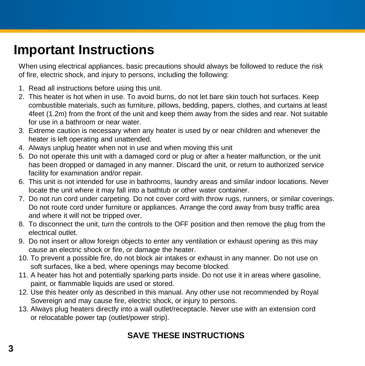### **Important Instructions**

When using electrical appliances, basic precautions should always be followed to reduce the risk of fire, electric shock, and injury to persons, including the following:

- 1. Read all instructions before using this unit.
- 2. This heater is hot when in use. To avoid burns, do not let bare skin touch hot surfaces. Keep combustible materials, such as furniture, pillows, bedding, papers, clothes, and curtains at least 4feet (1.2m) from the front of the unit and keep them away from the sides and rear. Not suitable for use in a bathroom or near water.
- 3. Extreme caution is necessary when any heater is used by or near children and whenever the heater is left operating and unattended.
- 4. Always unplug heater when not in use and when moving this unit
- 5. Do not operate this unit with a damaged cord or plug or after a heater malfunction, or the unit has been dropped or damaged in any manner. Discard the unit, or return to authorized service facility for examination and/or repair.
- 6. This unit is not intended for use in bathrooms, laundry areas and similar indoor locations. Never locate the unit where it may fall into a bathtub or other water container.
- 7. Do not run cord under carpeting. Do not cover cord with throw rugs, runners, or similar coverings. Do not route cord under furniture or appliances. Arrange the cord away from busy traffic area and where it will not be tripped over.
- 8. To disconnect the unit, turn the controls to the OFF position and then remove the plug from the electrical outlet.
- 9. Do not insert or allow foreign objects to enter any ventilation or exhaust opening as this may cause an electric shock or fire, or damage the heater.
- 10. To prevent a possible fire, do not block air intakes or exhaust in any manner. Do not use on soft surfaces, like a bed, where openings may become blocked.
- 11. A heater has hot and potentially sparking parts inside. Do not use it in areas where gasoline, paint, or flammable liquids are used or stored.
- 12. Use this heater only as described in this manual. Any other use not recommended by Royal Sovereign and may cause fire, electric shock, or injury to persons.
- 13. Always plug heaters directly into a wall outlet/receptacle. Never use with an extension cord or relocatable power tap (outlet/power strip).

### **SAVE THESE INSTRUCTIONS**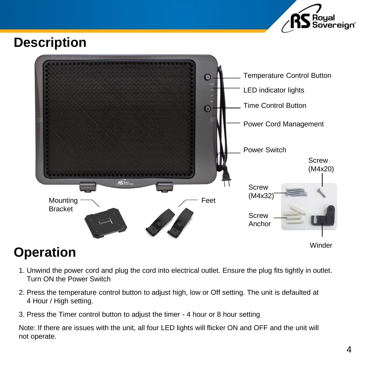

### **Description**



- 1. Unwind the power cord and plug the cord into electrical outlet. Ensure the plug fits tightly in outlet. Turn ON the Power Switch
- 2. Press the temperature control button to adjust high, low or Off setting. The unit is defaulted at 4 Hour / High setting.
- 3. Press the Timer control button to adjust the timer 4 hour or 8 hour setting

Note: If there are issues with the unit, all four LED lights will flicker ON and OFF and the unit will not operate.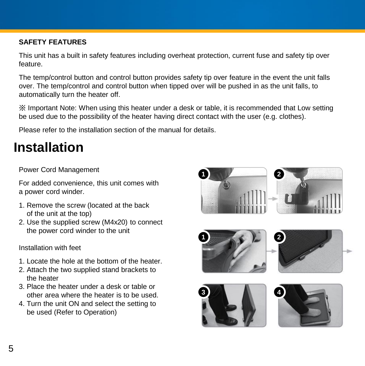#### **SAFETY FEATURES**

This unit has a built in safety features including overheat protection, current fuse and safety tip over feature.

The temp/control button and control button provides safety tip over feature in the event the unit falls over. The temp/control and control button when tipped over will be pushed in as the unit falls, to automatically turn the heater off.

※ Important Note: When using this heater under a desk or table, it is recommended that Low setting be used due to the possibility of the heater having direct contact with the user (e.g. clothes).

Please refer to the installation section of the manual for details.

### **Installation**

#### Power Cord Management

For added convenience, this unit comes with a power cord winder.

- 1. Remove the screw (located at the back of the unit at the top)
- 2. Use the supplied screw (M4x20) to connect the power cord winder to the unit

Installation with feet

- 1. Locate the hole at the bottom of the heater.
- 2. Attach the two supplied stand brackets to the heater
- 3. Place the heater under a desk or table or other area where the heater is to be used.
- 4. Turn the unit ON and select the setting to be used (Refer to Operation)

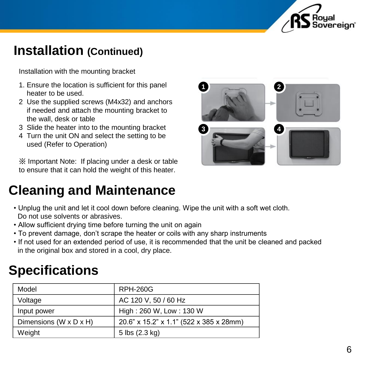

### **Installation (Continued)**

Installation with the mounting bracket

- 1. Ensure the location is sufficient for this panel heater to be used.
- 2 Use the supplied screws (M4x32) and anchors if needed and attach the mounting bracket to the wall, desk or table
- 3 Slide the heater into to the mounting bracket
- 4 Turn the unit ON and select the setting to be used (Refer to Operation)

※ Important Note: If placing under a desk or table to ensure that it can hold the weight of this heater.

### **Cleaning and Maintenance**

- Unplug the unit and let it cool down before cleaning. Wipe the unit with a soft wet cloth. Do not use solvents or abrasives.
- Allow sufficient drying time before turning the unit on again
- To prevent damage, don't scrape the heater or coils with any sharp instruments
- If not used for an extended period of use, it is recommended that the unit be cleaned and packed in the original box and stored in a cool, dry place.

### **Specifications**

| Model                                | RPH-260G                                |
|--------------------------------------|-----------------------------------------|
| Voltage                              | AC 120 V, 50 / 60 Hz                    |
| Input power                          | High: 260 W, Low: 130 W                 |
| Dimensions (W $\times$ D $\times$ H) | 20.6" x 15.2" x 1.1" (522 x 385 x 28mm) |
| Weight                               | 5 lbs (2.3 kg)                          |

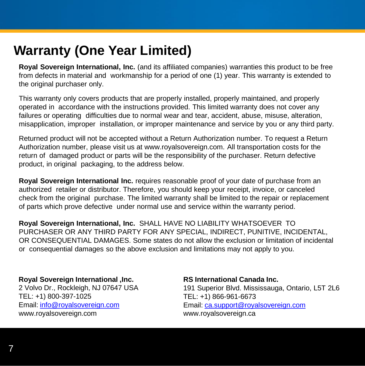### **Warranty (One Year Limited)**

**Royal Sovereign International, Inc.** (and its affiliated companies) warranties this product to be free from defects in material and workmanship for a period of one (1) year. This warranty is extended to the original purchaser only.

This warranty only covers products that are properly installed, properly maintained, and properly operated in accordance with the instructions provided. This limited warranty does not cover any failures or operating difficulties due to normal wear and tear, accident, abuse, misuse, alteration, misapplication, improper installation, or improper maintenance and service by you or any third party.

Returned product will not be accepted without a Return Authorization number. To request a Return Authorization number, please visit us at www.royalsovereign.com. All transportation costs for the return of damaged product or parts will be the responsibility of the purchaser. Return defective product, in original packaging, to the address below.

**Royal Sovereign International Inc.** requires reasonable proof of your date of purchase from an authorized retailer or distributor. Therefore, you should keep your receipt, invoice, or canceled check from the original purchase. The limited warranty shall be limited to the repair or replacement of parts which prove defective under normal use and service within the warranty period.

**Royal Sovereign International, Inc.** SHALL HAVE NO LIABILITY WHATSOEVER TO PURCHASER OR ANY THIRD PARTY FOR ANY SPECIAL, INDIRECT, PUNITIVE, INCIDENTAL, OR CONSEQUENTIAL DAMAGES. Some states do not allow the exclusion or limitation of incidental or consequential damages so the above exclusion and limitations may not apply to you.

#### **Royal Sovereign International ,Inc.**

2 Volvo Dr., Rockleigh, NJ 07647 USA TEL: +1) 800-397-1025 Email: [info@royalsovereign.com](mailto:info@royalsovereign.com) www.royalsovereign.com

#### **RS International Canada Inc.**

191 Superior Blvd. Mississauga, Ontario, L5T 2L6 TEL: +1) 866-961-6673 Email: [ca.support@royalsovereign.com](mailto:ca.support@royalsovereign.com) www.royalsovereign.ca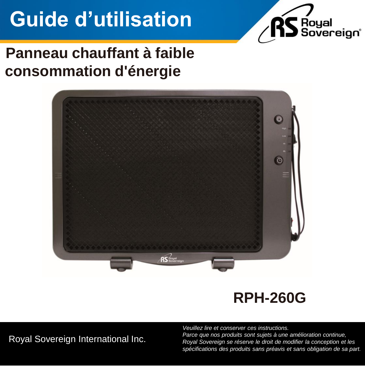# **Guide d'utilisation**



### **Panneau chauffant à faible consommation d'énergie**



### **RPH-260G**

Royal Sovereign International Inc.

*Veuillez lire et conserver ces instructions. Parce que nos produits sont sujets à une amélioration continue, Royal Sovereign se réserve le droit de modifier la conception et les spécifications des produits sans préavis et sans obligation de sa part.*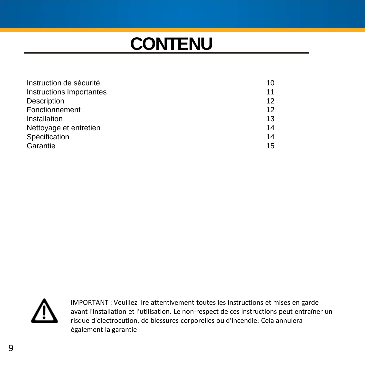## **CONTENU**

| Instruction de sécurité  | 10 |
|--------------------------|----|
| Instructions Importantes | 11 |
| Description              | 12 |
| Fonctionnement           | 12 |
| Installation             | 13 |
| Nettoyage et entretien   | 14 |
| Spécification            | 14 |
| Garantie                 | 15 |



IMPORTANT : Veuillez lire attentivement toutes les instructions et mises en garde avant l'installation et l'utilisation. Le non-respect de ces instructions peut entraîner un risque d'électrocution, de blessures corporelles ou d'incendie. Cela annulera également la garantie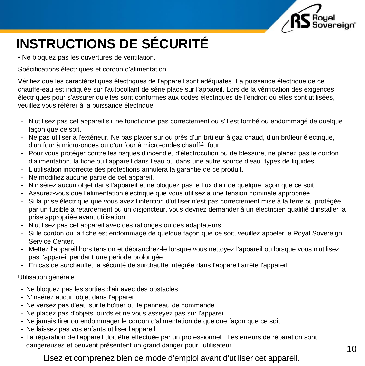

## **INSTRUCTIONS DE SÉCURITÉ**

• Ne bloquez pas les ouvertures de ventilation.

Spécifications électriques et cordon d'alimentation

WARNING chauffe-eau est indiquée sur l'autocollant de série placé sur l'appareil. Lors de la vérification des exigences Vérifiez que les caractéristiques électriques de l'appareil sont adéquates. La puissance électrique de ce électriques pour s'assurer qu'elles sont conformes aux codes électriques de l'endroit où elles sont utilisées, veuillez vous référer à la puissance électrique.

- N'utilisez pas cet appareil s'il ne fonctionne pas correctement ou s'il est tombé ou endommagé de quelque facon que ce soit.
- Ne pas utiliser à l'extérieur. Ne pas placer sur ou près d'un brûleur à gaz chaud, d'un brûleur électrique, d'un four à micro-ondes ou d'un four à micro-ondes chauffé. four.
- Pour vous protéger contre les risques d'incendie, d'électrocution ou de blessure, ne placez pas le cordon d'alimentation, la fiche ou l'appareil dans l'eau ou dans une autre source d'eau. types de liquides.
- L'utilisation incorrecte des protections annulera la garantie de ce produit.
- Ne modifiez aucune partie de cet appareil.
- N'insérez aucun objet dans l'appareil et ne bloquez pas le flux d'air de quelque façon que ce soit.
- Assurez-vous que l'alimentation électrique que vous utilisez a une tension nominale appropriée.
- Si la prise électrique que vous avez l'intention d'utiliser n'est pas correctement mise à la terre ou protégée par un fusible à retardement ou un disjoncteur, vous devriez demander à un électricien qualifié d'installer la prise appropriée avant utilisation.
- N'utilisez pas cet appareil avec des rallonges ou des adaptateurs.
- Si le cordon ou la fiche est endommagé de quelque façon que ce soit, veuillez appeler le Royal Sovereign Service Center.
- Mettez l'appareil hors tension et débranchez-le lorsque vous nettoyez l'appareil ou lorsque vous n'utilisez pas l'appareil pendant une période prolongée.
- En cas de surchauffe, la sécurité de surchauffe intégrée dans l'appareil arrête l'appareil.

#### Utilisation générale

- Ne bloquez pas les sorties d'air avec des obstacles.
- N'insérez aucun objet dans l'appareil.
- Ne versez pas d'eau sur le boîtier ou le panneau de commande.
- Ne placez pas d'objets lourds et ne vous asseyez pas sur l'appareil.
- Ne jamais tirer ou endommager le cordon d'alimentation de quelque façon que ce soit.
- Ne laissez pas vos enfants utiliser l'appareil
- La réparation de l'appareil doit être effectuée par un professionnel. Les erreurs de réparation sont dangereuses et peuvent présentent un grand danger pour l'utilisateur.

Lisez et comprenez bien ce mode d'emploi avant d'utiliser cet appareil.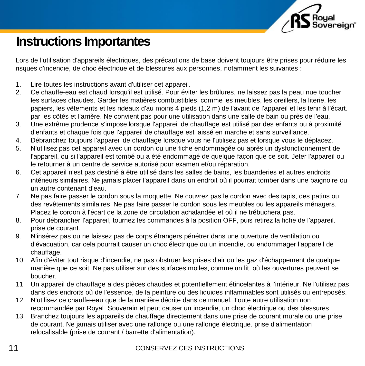

### **Instructions Importantes**

Lors de l'utilisation d'appareils électriques, des précautions de base doivent toujours être prises pour réduire les risques d'incendie, de choc électrique et de blessures aux personnes, notamment les suivantes :

- 1. Lire toutes les instructions avant d'utiliser cet appareil.
- 1. Lire toutes les instructions avant d'utilisér cet appareli.<br>2. Ce chauffe-eau est chaud lorsqu'il est utilisé. Pour éviter les brûlures, ne laissez pas la peau nue toucher les surfaces chaudes. Garder les matières combustibles, comme les meubles, les oreillers, la literie, les papiers, les vêtements et les rideaux d'au moins 4 pieds (1,2 m) de l'avant de l'appareil et les tenir à l'écart. par les côtés et l'arrière. Ne convient pas pour une utilisation dans une salle de bain ou près de l'eau.
- 3. Une extrême prudence s'impose lorsque l'appareil de chauffage est utilisé par des enfants ou à proximité d'enfants et chaque fois que l'appareil de chauffage est laissé en marche et sans surveillance.
- 4. Débranchez toujours l'appareil de chauffage lorsque vous ne l'utilisez pas et lorsque vous le déplacez.
- 5. N'utilisez pas cet appareil avec un cordon ou une fiche endommagée ou après un dysfonctionnement de l'appareil, ou si l'appareil est tombé ou a été endommagé de quelque façon que ce soit. Jeter l'appareil ou le retourner à un centre de service autorisé pour examen et/ou réparation.
- 6. Cet appareil n'est pas destiné à être utilisé dans les salles de bains, les buanderies et autres endroits intérieurs similaires. Ne jamais placer l'appareil dans un endroit où il pourrait tomber dans une baignoire ou un autre contenant d'eau.
- 7. Ne pas faire passer le cordon sous la moquette. Ne couvrez pas le cordon avec des tapis, des patins ou des revêtements similaires. Ne pas faire passer le cordon sous les meubles ou les appareils ménagers. Placez le cordon à l'écart de la zone de circulation achalandée et où il ne trébuchera pas.
- 8. Pour débrancher l'appareil, tournez les commandes à la position OFF, puis retirez la fiche de l'appareil. prise de courant.
- 9. N'insérez pas ou ne laissez pas de corps étrangers pénétrer dans une ouverture de ventilation ou d'évacuation, car cela pourrait causer un choc électrique ou un incendie, ou endommager l'appareil de chauffage.
- 10. Afin d'éviter tout risque d'incendie, ne pas obstruer les prises d'air ou les gaz d'échappement de quelque manière que ce soit. Ne pas utiliser sur des surfaces molles, comme un lit, où les ouvertures peuvent se boucher.
- 11. Un appareil de chauffage a des pièces chaudes et potentiellement étincelantes à l'intérieur. Ne l'utilisez pas dans des endroits où de l'essence, de la peinture ou des liquides inflammables sont utilisés ou entreposés.
- 12. N'utilisez ce chauffe-eau que de la manière décrite dans ce manuel. Toute autre utilisation non recommandée par Royal Souverain et peut causer un incendie, un choc électrique ou des blessures.
- 13. Branchez toujours les appareils de chauffage directement dans une prise de courant murale ou une prise de courant. Ne jamais utiliser avec une rallonge ou une rallonge électrique. prise d'alimentation relocalisable (prise de courant / barrette d'alimentation).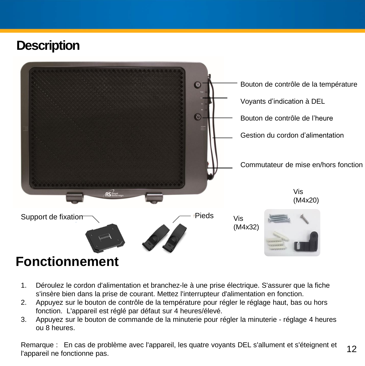### **Description**



## 1. Déroulez le cordon d'alimentation et branchez-le à une prise électrique. S'assurer que la fiche

- s'insère bien dans la prise de courant. Mettez l'interrupteur d'alimentation en fonction.
- 2. Appuyez sur le bouton de contrôle de la température pour régler le réglage haut, bas ou hors fonction. L'appareil est réglé par défaut sur 4 heures/élevé.
- 3. Appuyez sur le bouton de commande de la minuterie pour régler la minuterie réglage 4 heures ou 8 heures.

Remarque : En cas de problème avec l'appareil, les quatre voyants DEL s'allument et s'éteignent et l'appareil ne fonctionne pas.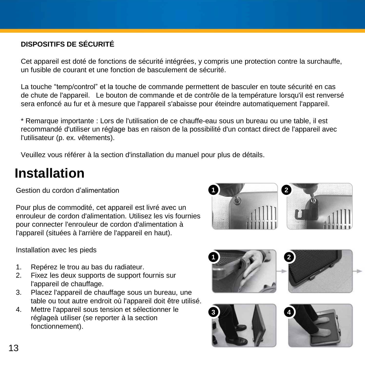### **DISPOSITIFS DE SÉCURITÉ**

Cet appareil est doté de fonctions de sécurité intégrées, y compris une protection contre la surchauffe, un fusible de courant et une fonction de basculement de sécurité.

La touche "temp/control" et la touche de commande permettent de basculer en toute sécurité en cas de chute de l'appareil. Le bouton de commande et de contrôle de la température lorsqu'il est renversé sera enfoncé au fur et à mesure que l'appareil s'abaisse pour éteindre automatiquement l'appareil.

\* Remarque importante : Lors de l'utilisation de ce chauffe-eau sous un bureau ou une table, il est recommandé d'utiliser un réglage bas en raison de la possibilité d'un contact direct de l'appareil avec l'utilisateur (p. ex. vêtements).

Veuillez vous référer à la section d'installation du manuel pour plus de détails.

### **Installation**

Gestion du cordon d'alimentation

Pour plus de commodité, cet appareil est livré avec un enrouleur de cordon d'alimentation. Utilisez les vis fournies pour connecter l'enrouleur de cordon d'alimentation à l'appareil (situées à l'arrière de l'appareil en haut).



Installation avec les pieds

- 1. Repérez le trou au bas du radiateur.
- 2. Fixez les deux supports de support fournis sur l'appareil de chauffage.
- 3. Placez l'appareil de chauffage sous un bureau, une table ou tout autre endroit où l'appareil doit être utilisé.
- 4. Mettre l'appareil sous tension et sélectionner le réglageà utiliser (se reporter à la section fonctionnement).

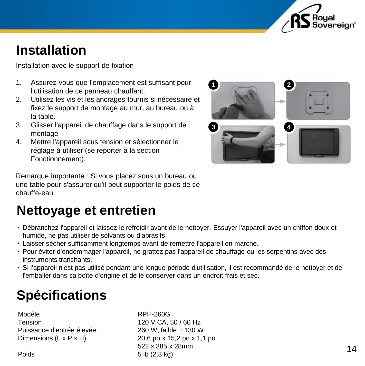

### **Installation**

Installation avec le support de fixation

- 1. Assurez-vous que l'emplacement est suffisant pour l'utilisation de ce panneau chauffant.
- 2. Utilisez les vis et les ancrages fournis si nécessaire et fixez le support de montage au mur, au bureau ou à la table.
- 3. Glisser l'appareil de chauffage dans le support de montage
- 4. Mettre l'appareil sous tension et sélectionner le réglage à utiliser (se reporter à la section Fonctionnement).



Remarque importante : Si vous placez sous un bureau ou une table pour s'assurer qu'il peut supporter le poids de ce chauffe-eau.

### **Nettoyage et entretien**

- Debranchez rapparen et laissez-le renoluir availt<br>humide, ne pas utiliser de solvants ou d'abrasifs. • Débranchez l'appareil et laissez-le refroidir avant de le nettoyer. Essuyer l'appareil avec un chiffon doux et
- Laisser sécher suffisamment longtemps avant de remettre l'appareil en marche.
- Pour éviter d'endommager l'appareil, ne grattez pas l'appareil de chauffage ou les serpentins avec des instruments tranchants.
- Si l'appareil n'est pas utilisé pendant une longue période d'utilisation, il est recommandé de le nettoyer et de l'emballer dans sa boîte d'origine et de le conserver dans un endroit frais et sec.

## **Spécifications**

Modèle RPH-260G Tension 120 V CA, 50 / 60 Hz Puissance d'entrée élevée : 260 W, faible : 130 W Dimensions  $(L \times P \times H)$  20,6 po x 15,2 po x 1,1 po

522 x 385 x 28mm Poids 5 lb (2,3 kg)